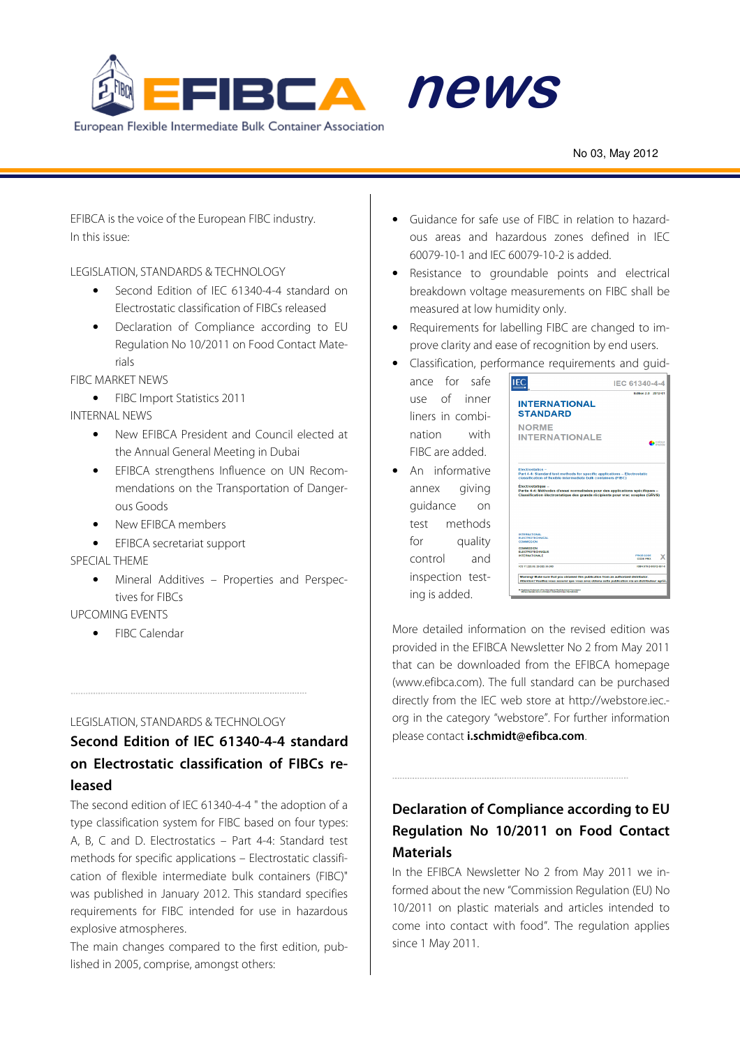

EFIBCA is the voice of the European FIBC industry. In this issue:

LEGISLATION, STANDARDS & TECHNOLOGY

- Second Edition of IEC 61340-4-4 standard on Electrostatic classification of FIBCs released
- Declaration of Compliance according to EU Regulation No 10/2011 on Food Contact Materials

FIBC MARKET NEWS

• FIBC Import Statistics 2011

INTERNAL NEWS

- New EFIBCA President and Council elected at the Annual General Meeting in Dubai
- EFIBCA strengthens Influence on UN Recommendations on the Transportation of Dangerous Goods
- New FFIBCA members
- EFIBCA secretariat support

SPECIAL THEME

• Mineral Additives – Properties and Perspectives for FIBCs

UPCOMING EVENTS

• FIBC Calendar

### LEGISLATION, STANDARDS & TECHNOLOGY

# **Second Edition of IEC 61340-4-4 standard on Electrostatic classification of FIBCs released**

The second edition of IEC 61340-4-4 " the adoption of a type classification system for FIBC based on four types: A, B, C and D. Electrostatics – Part 4-4: Standard test methods for specific applications – Electrostatic classification of flexible intermediate bulk containers (FIBC)" was published in January 2012. This standard specifies requirements for FIBC intended for use in hazardous explosive atmospheres.

The main changes compared to the first edition, published in 2005, comprise, amongst others:

• Guidance for safe use of FIBC in relation to hazardous areas and hazardous zones defined in IEC 60079-10-1 and IEC 60079-10-2 is added.

news

alert 1989<br>1980 - Paul Barbara, politik fizikar<br>1980 - Paul Barbara, politik fizikar

- Resistance to groundable points and electrical breakdown voltage measurements on FIBC shall be measured at low humidity only.
- Requirements for labelling FIBC are changed to improve clarity and ease of recognition by end users.
- Classification, performance requirements and guid-
- liners in combination with FIBC are added. • An informative annex giving guidance on test methods for quality control and inspection testing is added.

ance for safe use of inner

|                                                                                                                                                                                             | IEC 61340-4-4           |
|---------------------------------------------------------------------------------------------------------------------------------------------------------------------------------------------|-------------------------|
|                                                                                                                                                                                             | Edition 2.0 2012-01     |
| <b>INTERNATIONAL</b><br><b>STANDARD</b>                                                                                                                                                     |                         |
| <b>NORME</b><br><b>INTERNATIONALE</b>                                                                                                                                                       | colour<br>inside        |
| Electrostatics -<br>Part 4-4: Standard test methods for specific applications - Electrostatic<br>classification of flexible intermediate bulk containers (FIBC)                             |                         |
| Électrostatique -<br>Partie 4-4: Méthodes d'essai normalisées pour des applications spécifiques -<br>Classification électrostatique des grands récipients pour vrac souples (GRVS)          |                         |
|                                                                                                                                                                                             |                         |
| INTERNATIONAL<br><b>FLECTROTECHNICAL</b><br><b>COMMISSION</b>                                                                                                                               |                         |
| COMMISSION<br><b>ELECTROTECHNICUE</b><br><b>INTERNATIONALE</b>                                                                                                                              | PRICE CODE<br>CODE PRIX |
| 105 17:220.99: 29.020: 55.060                                                                                                                                                               | ISBN 978-2-88912-851-8  |
| Warning! Make sure that you obtained this publication from an authorized distributor.<br>Attention! Veuillez vous assurer que vous avez obtenu cette publication via un distributeur agréé. |                         |

More detailed information on the revised edition was provided in the EFIBCA Newsletter No 2 from May 2011 that can be downloaded from the EFIBCA homepage (www.efibca.com). The full standard can be purchased directly from the IEC web store at http://webstore.iec. org in the category "webstore". For further information please contact **i.schmidt@efibca.com**.

# **Declaration of Compliance according to EU Regulation No 10/2011 on Food Contact Materials**

In the EFIBCA Newsletter No 2 from May 2011 we informed about the new "Commission Regulation (EU) No 10/2011 on plastic materials and articles intended to come into contact with food". The regulation applies since 1 May 2011.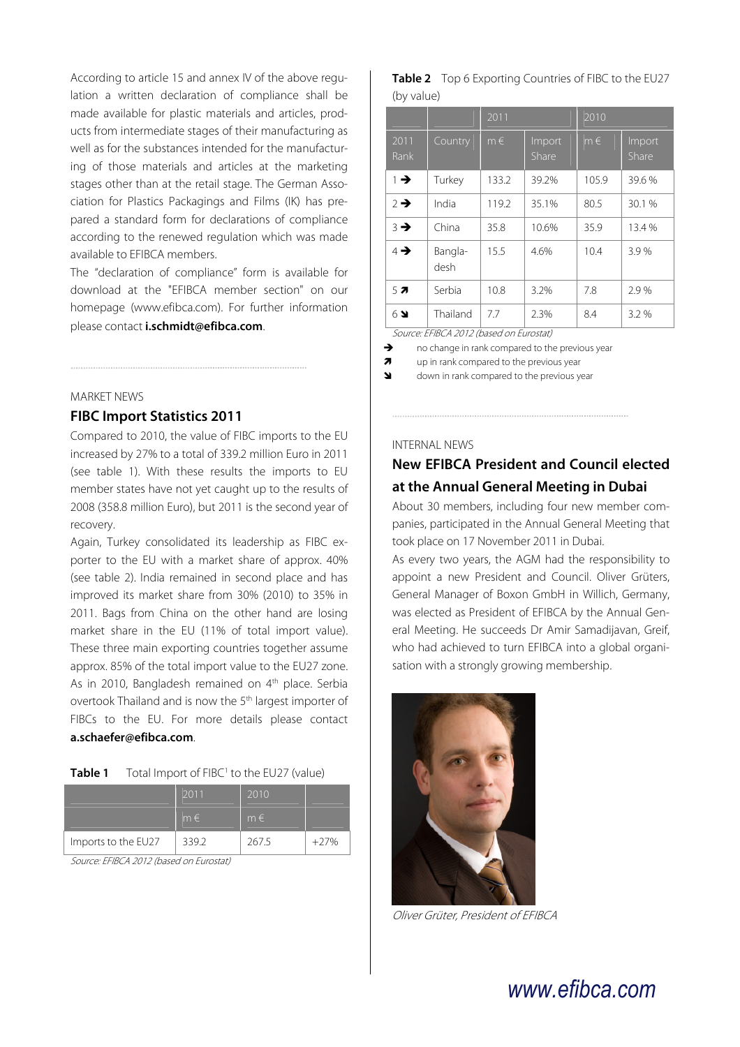According to article 15 and annex IV of the above regulation a written declaration of compliance shall be made available for plastic materials and articles, products from intermediate stages of their manufacturing as well as for the substances intended for the manufacturing of those materials and articles at the marketing stages other than at the retail stage. The German Association for Plastics Packagings and Films (IK) has prepared a standard form for declarations of compliance according to the renewed regulation which was made available to EFIBCA members.

The "declaration of compliance" form is available for download at the "EFIBCA member section" on our homepage (www.efibca.com). For further information please contact **i.schmidt@efibca.com**.

#### MARKET NEWS

## **FIBC Import Statistics 2011**

Compared to 2010, the value of FIBC imports to the EU increased by 27% to a total of 339.2 million Euro in 2011 (see table 1). With these results the imports to EU member states have not yet caught up to the results of 2008 (358.8 million Euro), but 2011 is the second year of recovery.

Again, Turkey consolidated its leadership as FIBC exporter to the EU with a market share of approx. 40% (see table 2). India remained in second place and has improved its market share from 30% (2010) to 35% in 2011. Bags from China on the other hand are losing market share in the EU (11% of total import value). These three main exporting countries together assume approx. 85% of the total import value to the EU27 zone. As in 2010, Bangladesh remained on 4<sup>th</sup> place. Serbia overtook Thailand and is now the 5<sup>th</sup> largest importer of FIBCs to the EU. For more details please contact **a.schaefer@efibca.com**.

| Table 1 |  |  | Total Import of FIBC <sup>1</sup> to the EU27 (value) |  |
|---------|--|--|-------------------------------------------------------|--|
|---------|--|--|-------------------------------------------------------|--|

|                     | 2011    | 2010    |        |
|---------------------|---------|---------|--------|
|                     | $m \in$ | $m \in$ |        |
| Imports to the EU27 | 339.2   | 267.5   | $+27%$ |

Source: EFIBCA 2012 (based on Eurostat)

## **Table 2** Top 6 Exporting Countries of FIBC to the EU27 (by value)

|                 |                 | 2011    |                 | 2010    |                 |
|-----------------|-----------------|---------|-----------------|---------|-----------------|
| 2011<br>Rank    | Country         | $m \in$ | Import<br>Share | $m \in$ | Import<br>Share |
| $1 \rightarrow$ | Turkey          | 133.2   | 39.2%           | 105.9   | 39.6%           |
| $2 \rightarrow$ | India           | 119.2   | 35.1%           | 80.5    | 30.1%           |
| $3 \rightarrow$ | China           | 35.8    | 10.6%           | 35.9    | 13.4%           |
| $4 \rightarrow$ | Bangla-<br>desh | 15.5    | 4.6%            | 10.4    | 3.9%            |
| 57              | Serbia          | 10.8    | 3.2%            | 7.8     | 2.9%            |
| 69              | Thailand        | 7.7     | 2.3%            | 8.4     | 3.2 %           |

Source: EFIBCA 2012 (based on Eurostat)

 $\rightarrow$  no change in rank compared to the previous year

 $\overline{\mathbf{z}}$ up in rank compared to the previous year

down in rank compared to the previous year

### INTERNAL NEWS

## **New EFIBCA President and Council elected at the Annual General Meeting in Dubai**

About 30 members, including four new member companies, participated in the Annual General Meeting that took place on 17 November 2011 in Dubai.

As every two years, the AGM had the responsibility to appoint a new President and Council. Oliver Grüters, General Manager of Boxon GmbH in Willich, Germany, was elected as President of EFIBCA by the Annual General Meeting. He succeeds Dr Amir Samadijavan, Greif, who had achieved to turn EFIBCA into a global organisation with a strongly growing membership.



Oliver Grüter, President of EFIBCA

www.efibca.com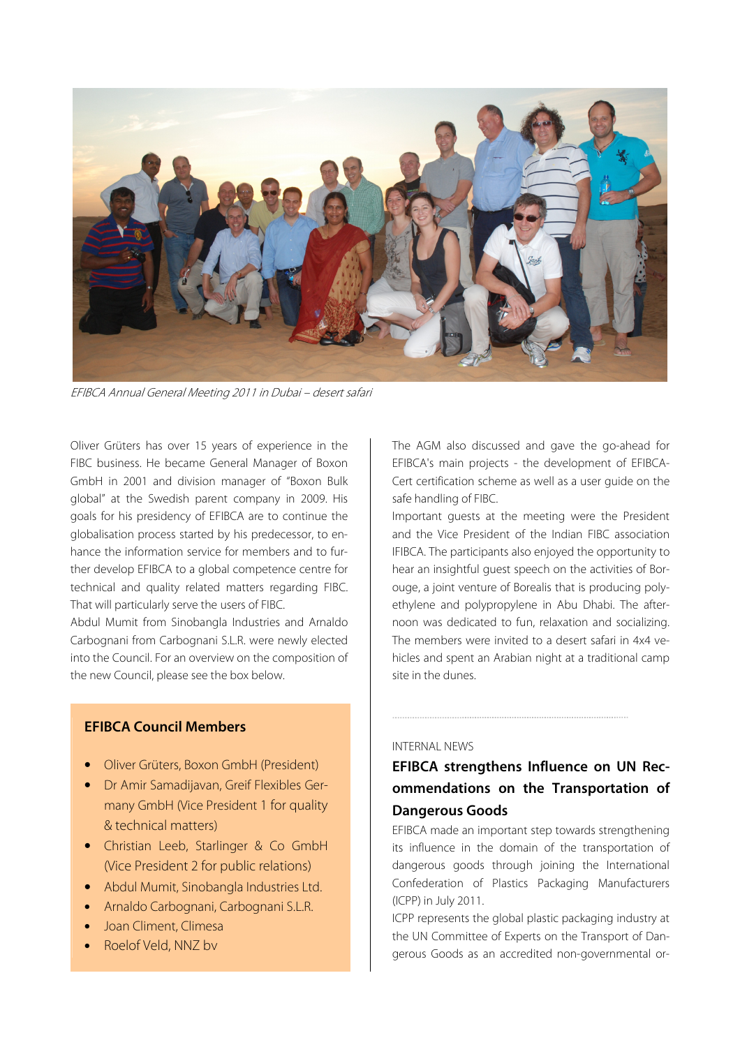

EFIBCA Annual General Meeting 2011 in Dubai – desert safari

Oliver Grüters has over 15 years of experience in the FIBC business. He became General Manager of Boxon GmbH in 2001 and division manager of "Boxon Bulk global" at the Swedish parent company in 2009. His goals for his presidency of EFIBCA are to continue the globalisation process started by his predecessor, to enhance the information service for members and to further develop EFIBCA to a global competence centre for technical and quality related matters regarding FIBC. That will particularly serve the users of FIBC.

Abdul Mumit from Sinobangla Industries and Arnaldo Carbognani from Carbognani S.L.R. were newly elected into the Council. For an overview on the composition of the new Council, please see the box below.

## **EFIBCA Council Members**

- Oliver Grüters, Boxon GmbH (President)
- Dr Amir Samadijavan, Greif Flexibles Germany GmbH (Vice President 1 for quality & technical matters)
- Christian Leeb, Starlinger & Co GmbH (Vice President 2 for public relations)
- Abdul Mumit, Sinobangla Industries Ltd.
- Arnaldo Carbognani, Carbognani S.L.R.
- Joan Climent, Climesa
- Roelof Veld, NNZ bv

The AGM also discussed and gave the go-ahead for EFIBCA's main projects - the development of EFIBCA-Cert certification scheme as well as a user guide on the safe handling of FIBC.

Important guests at the meeting were the President and the Vice President of the Indian FIBC association IFIBCA. The participants also enjoyed the opportunity to hear an insightful guest speech on the activities of Borouge, a joint venture of Borealis that is producing polyethylene and polypropylene in Abu Dhabi. The afternoon was dedicated to fun, relaxation and socializing. The members were invited to a desert safari in 4x4 vehicles and spent an Arabian night at a traditional camp site in the dunes.

## INTERNAL NEWS

# **EFIBCA strengthens Influence on UN Recommendations on the Transportation of Dangerous Goods**

EFIBCA made an important step towards strengthening its influence in the domain of the transportation of dangerous goods through joining the International Confederation of Plastics Packaging Manufacturers (ICPP) in July 2011.

ICPP represents the global plastic packaging industry at the UN Committee of Experts on the Transport of Dangerous Goods as an accredited non-governmental or-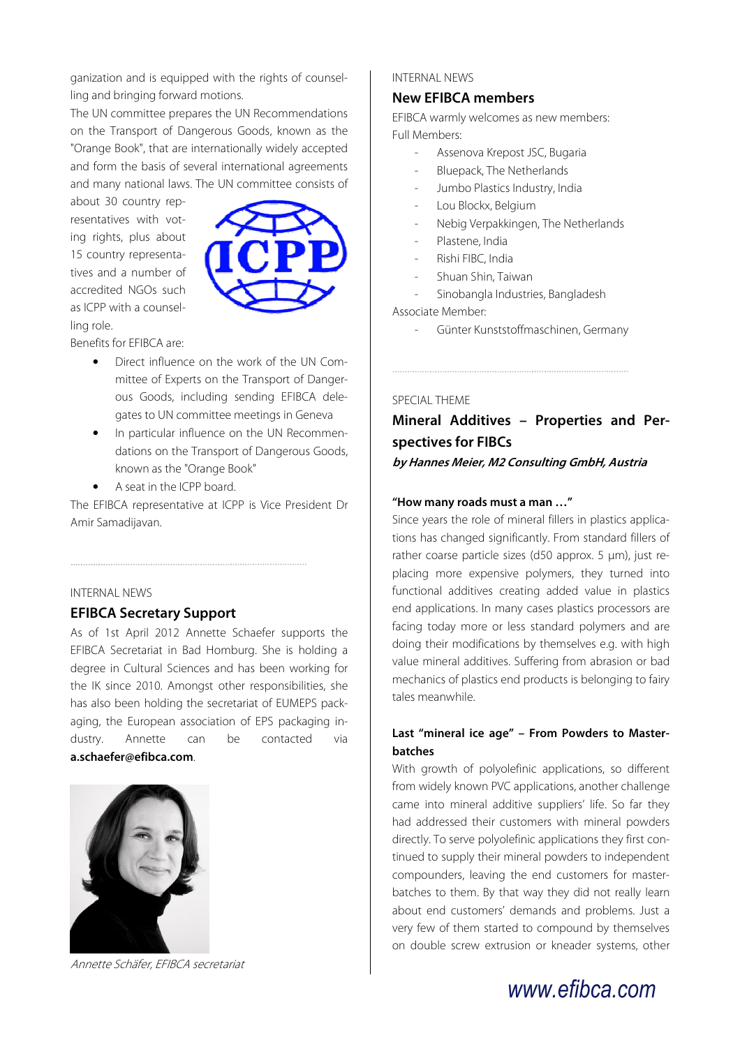ganization and is equipped with the rights of counselling and bringing forward motions.

The UN committee prepares the UN Recommendations on the Transport of Dangerous Goods, known as the "Orange Book", that are internationally widely accepted and form the basis of several international agreements and many national laws. The UN committee consists of

about 30 country representatives with voting rights, plus about 15 country representatives and a number of accredited NGOs such as ICPP with a counselling role.



Benefits for EFIBCA are:

- Direct influence on the work of the UN Committee of Experts on the Transport of Dangerous Goods, including sending EFIBCA delegates to UN committee meetings in Geneva
- In particular influence on the UN Recommendations on the Transport of Dangerous Goods, known as the "Orange Book"
- A seat in the ICPP board.

The EFIBCA representative at ICPP is Vice President Dr Amir Samadijavan.

## INTERNAL NEWS

## **EFIBCA Secretary Support**

As of 1st April 2012 Annette Schaefer supports the EFIBCA Secretariat in Bad Homburg. She is holding a degree in Cultural Sciences and has been working for the IK since 2010. Amongst other responsibilities, she has also been holding the secretariat of EUMEPS packaging, the European association of EPS packaging industry. Annette can be contacted via **a.schaefer@efibca.com**.



Annette Schäfer, EFIBCA secretariat

## INTERNAL NEWS

## **New EFIBCA members**

EFIBCA warmly welcomes as new members: Full Members:

- Assenova Krepost JSC, Bugaria
- Bluepack, The Netherlands
- Jumbo Plastics Industry, India
- Lou Blockx, Belgium
- Nebig Verpakkingen, The Netherlands
- Plastene, India
- Rishi FIBC, India
- Shuan Shin, Taiwan
- Sinobangla Industries, Bangladesh

Associate Member:

- Günter Kunststoffmaschinen, Germany

## SPECIAL THEME

**Mineral Additives – Properties and Perspectives for FIBCs by Hannes Meier, M2 Consulting GmbH, Austria** 

### **"How many roads must a man …"**

Since years the role of mineral fillers in plastics applications has changed significantly. From standard fillers of rather coarse particle sizes (d50 approx. 5 µm), just replacing more expensive polymers, they turned into functional additives creating added value in plastics end applications. In many cases plastics processors are facing today more or less standard polymers and are doing their modifications by themselves e.g. with high value mineral additives. Suffering from abrasion or bad mechanics of plastics end products is belonging to fairy tales meanwhile.

## **Last "mineral ice age" – From Powders to Masterbatches**

With growth of polyolefinic applications, so different from widely known PVC applications, another challenge came into mineral additive suppliers' life. So far they had addressed their customers with mineral powders directly. To serve polyolefinic applications they first continued to supply their mineral powders to independent compounders, leaving the end customers for masterbatches to them. By that way they did not really learn about end customers' demands and problems. Just a very few of them started to compound by themselves on double screw extrusion or kneader systems, other

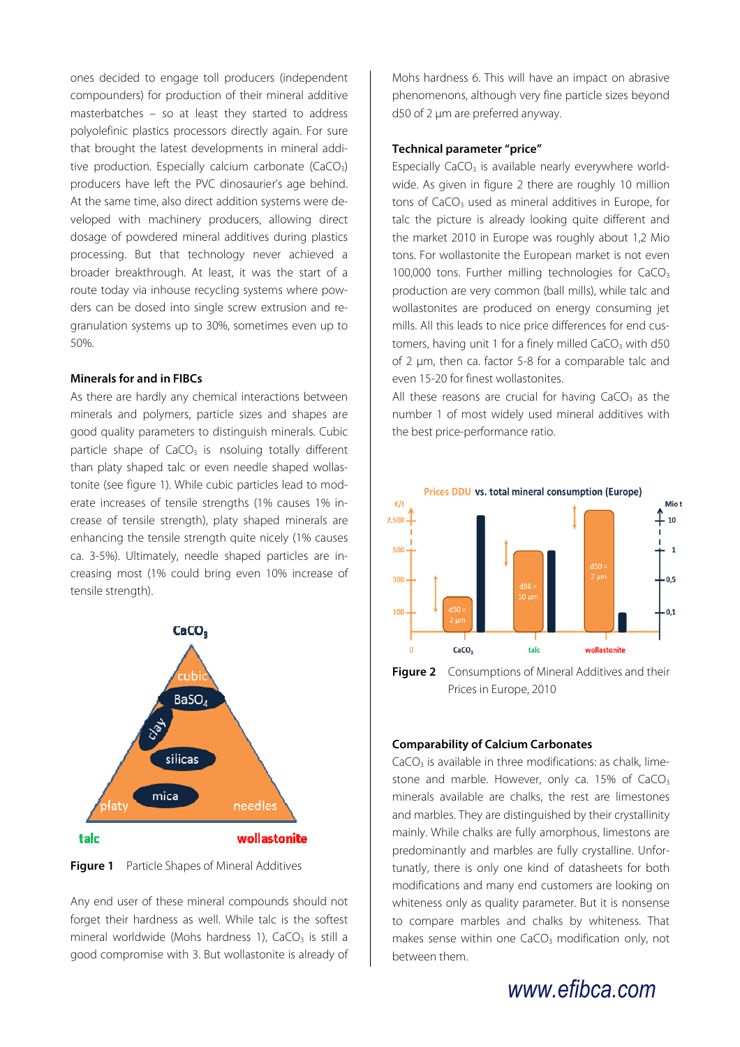ones decided to engage toll producers (independent compounders) for production of their mineral additive masterbatches – so at least they started to address polyolefinic plastics processors directly again. For sure that brought the latest developments in mineral additive production. Especially calcium carbonate (CaCO<sub>3</sub>) producers have left the PVC dinosaurier's age behind. At the same time, also direct addition systems were developed with machinery producers, allowing direct dosage of powdered mineral additives during plastics processing. But that technology never achieved a broader breakthrough. At least, it was the start of a route today via inhouse recycling systems where powders can be dosed into single screw extrusion and regranulation systems up to 30%, sometimes even up to 50%.

## **Minerals for and in FIBCs**

As there are hardly any chemical interactions between minerals and polymers, particle sizes and shapes are good quality parameters to distinguish minerals. Cubic particle shape of  $CaCO<sub>3</sub>$  is nsoluing totally different than platy shaped talc or even needle shaped wollastonite (see figure 1). While cubic particles lead to moderate increases of tensile strengths (1% causes 1% increase of tensile strength), platy shaped minerals are enhancing the tensile strength quite nicely (1% causes ca. 3-5%). Ultimately, needle shaped particles are increasing most (1% could bring even 10% increase of tensile strength).



**Figure 1** Particle Shapes of Mineral Additives

Any end user of these mineral compounds should not forget their hardness as well. While talc is the softest mineral worldwide (Mohs hardness 1),  $CaCO<sub>3</sub>$  is still a good compromise with 3. But wollastonite is already of Mohs hardness 6. This will have an impact on abrasive phenomenons, although very fine particle sizes beyond d50 of 2 µm are preferred anyway.

#### **Technical parameter "price"**

Especially  $CaCO<sub>3</sub>$  is available nearly everywhere worldwide. As given in figure 2 there are roughly 10 million tons of CaCO<sub>3</sub> used as mineral additives in Europe, for talc the picture is already looking quite different and the market 2010 in Europe was roughly about 1,2 Mio tons. For wollastonite the European market is not even 100,000 tons. Further milling technologies for  $CaCO<sub>3</sub>$ production are very common (ball mills), while talc and wollastonites are produced on energy consuming jet mills. All this leads to nice price differences for end customers, having unit 1 for a finely milled  $CaCO<sub>3</sub>$  with d50 of 2 µm, then ca. factor 5-8 for a comparable talc and even 15-20 for finest wollastonites.

All these reasons are crucial for having  $CaCO<sub>3</sub>$  as the number 1 of most widely used mineral additives with the best price-performance ratio.



**Figure 2** Consumptions of Mineral Additives and their Prices in Europe, 2010

## **Comparability of Calcium Carbonates**

 $CaCO<sub>3</sub>$  is available in three modifications: as chalk, limestone and marble. However, only ca. 15% of  $CaCO<sub>3</sub>$ minerals available are chalks, the rest are limestones and marbles. They are distinguished by their crystallinity mainly. While chalks are fully amorphous, limestons are predominantly and marbles are fully crystalline. Unfortunatly, there is only one kind of datasheets for both modifications and many end customers are looking on whiteness only as quality parameter. But it is nonsense to compare marbles and chalks by whiteness. That makes sense within one  $CaCO<sub>3</sub>$  modification only, not between them.

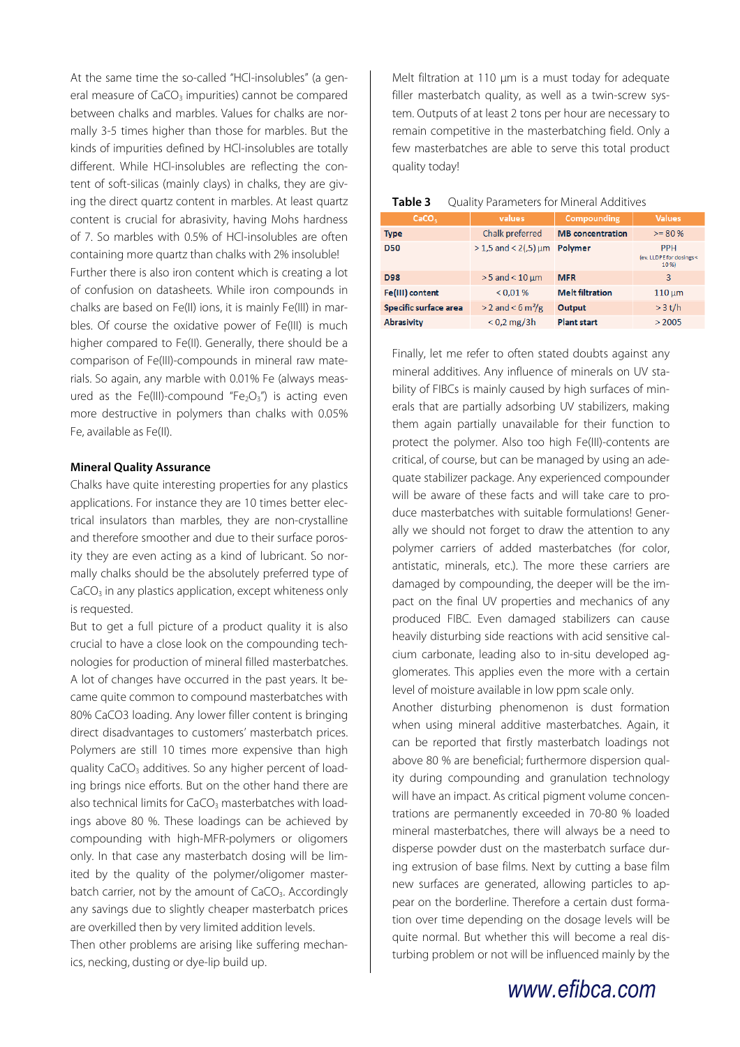At the same time the so-called "HCl-insolubles" (a general measure of CaCO<sub>3</sub> impurities) cannot be compared between chalks and marbles. Values for chalks are normally 3-5 times higher than those for marbles. But the kinds of impurities defined by HCl-insolubles are totally different. While HCl-insolubles are reflecting the content of soft-silicas (mainly clays) in chalks, they are giving the direct quartz content in marbles. At least quartz content is crucial for abrasivity, having Mohs hardness of 7. So marbles with 0.5% of HCl-insolubles are often containing more quartz than chalks with 2% insoluble! Further there is also iron content which is creating a lot of confusion on datasheets. While iron compounds in chalks are based on Fe(II) ions, it is mainly Fe(III) in marbles. Of course the oxidative power of Fe(III) is much higher compared to Fe(II). Generally, there should be a comparison of Fe(III)-compounds in mineral raw materials. So again, any marble with 0.01% Fe (always measured as the Fe(III)-compound "Fe $_2O_3$ ") is acting even more destructive in polymers than chalks with 0.05% Fe, available as Fe(II).

### **Mineral Quality Assurance**

Chalks have quite interesting properties for any plastics applications. For instance they are 10 times better electrical insulators than marbles, they are non-crystalline and therefore smoother and due to their surface porosity they are even acting as a kind of lubricant. So normally chalks should be the absolutely preferred type of CaCO<sub>3</sub> in any plastics application, except whiteness only is requested.

But to get a full picture of a product quality it is also crucial to have a close look on the compounding technologies for production of mineral filled masterbatches. A lot of changes have occurred in the past years. It became quite common to compound masterbatches with 80% CaCO3 loading. Any lower filler content is bringing direct disadvantages to customers' masterbatch prices. Polymers are still 10 times more expensive than high quality CaCO<sub>3</sub> additives. So any higher percent of loading brings nice efforts. But on the other hand there are also technical limits for CaCO<sub>3</sub> masterbatches with loadings above 80 %. These loadings can be achieved by compounding with high-MFR-polymers or oligomers only. In that case any masterbatch dosing will be limited by the quality of the polymer/oligomer masterbatch carrier, not by the amount of  $CaCO<sub>3</sub>$ . Accordingly any savings due to slightly cheaper masterbatch prices are overkilled then by very limited addition levels.

Then other problems are arising like suffering mechanics, necking, dusting or dye-lip build up.

Melt filtration at 110 µm is a must today for adequate filler masterbatch quality, as well as a twin-screw system. Outputs of at least 2 tons per hour are necessary to remain competitive in the masterbatching field. Only a few masterbatches are able to serve this total product quality today!

| Table 3 | Quality Parameters for Mineral Additives |
|---------|------------------------------------------|
|---------|------------------------------------------|

| CaCO <sub>3</sub>     | values                            | Compounding             | <b>Values</b>                                   |
|-----------------------|-----------------------------------|-------------------------|-------------------------------------------------|
| <b>Type</b>           | Chalk preferred                   | <b>MB</b> concentration | $>= 80%$                                        |
| <b>D50</b>            | $>$ 1,5 and < 2(,5) $\mu$ m       | Polymer                 | <b>PPH</b><br>(ev. LLDPE for dosings <<br>10 %) |
| <b>D98</b>            | $> 5$ and < 10 $\mu$ m            | <b>MFR</b>              | 3                                               |
| Fe(III) content       | < 0.01 %                          | <b>Melt filtration</b>  | $110 \mu m$                                     |
| Specific surface area | $> 2$ and $< 6$ m <sup>2</sup> /g | Output                  | > 3t/h                                          |
| <b>Abrasivity</b>     | $< 0.2$ mg/3h                     | <b>Plant start</b>      | > 2005                                          |

Finally, let me refer to often stated doubts against any mineral additives. Any influence of minerals on UV stability of FIBCs is mainly caused by high surfaces of minerals that are partially adsorbing UV stabilizers, making them again partially unavailable for their function to protect the polymer. Also too high Fe(III)-contents are critical, of course, but can be managed by using an adequate stabilizer package. Any experienced compounder will be aware of these facts and will take care to produce masterbatches with suitable formulations! Generally we should not forget to draw the attention to any polymer carriers of added masterbatches (for color, antistatic, minerals, etc.). The more these carriers are damaged by compounding, the deeper will be the impact on the final UV properties and mechanics of any produced FIBC. Even damaged stabilizers can cause heavily disturbing side reactions with acid sensitive calcium carbonate, leading also to in-situ developed agglomerates. This applies even the more with a certain level of moisture available in low ppm scale only.

Another disturbing phenomenon is dust formation when using mineral additive masterbatches. Again, it can be reported that firstly masterbatch loadings not above 80 % are beneficial; furthermore dispersion quality during compounding and granulation technology will have an impact. As critical pigment volume concentrations are permanently exceeded in 70-80 % loaded mineral masterbatches, there will always be a need to disperse powder dust on the masterbatch surface during extrusion of base films. Next by cutting a base film new surfaces are generated, allowing particles to appear on the borderline. Therefore a certain dust formation over time depending on the dosage levels will be quite normal. But whether this will become a real disturbing problem or not will be influenced mainly by the